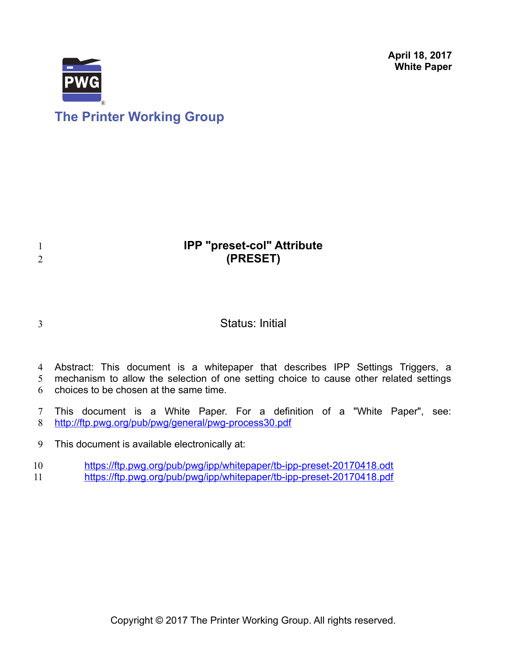**April 18, 2017 White Paper**



# **The Printer Working Group**

# **IPP "preset-col" Attribute (PRESET)**

3

1 2

## Status: Initial

- Abstract: This document is a whitepaper that describes IPP Settings Triggers, a mechanism to allow the selection of one setting choice to cause other related settings 4 5
- choices to be chosen at the same time. 6
- This document is a White Paper. For a definition of a "White Paper", see: <http://ftp.pwg.org/pub/pwg/general/pwg-process30.pdf> 7 8
- This document is available electronically at: 9
- <https://ftp.pwg.org/pub/pwg/ipp/whitepaper/tb-ipp-preset-20170418.odt> <https://ftp.pwg.org/pub/pwg/ipp/whitepaper/tb-ipp-preset-20170418.pdf> 10 11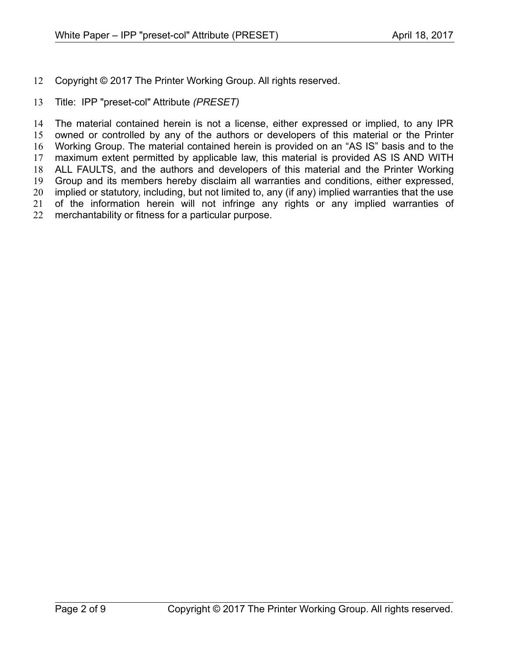- Copyright © 2017 The Printer Working Group. All rights reserved. 12
- Title: IPP "preset-col" Attribute *(PRESET)* 13

The material contained herein is not a license, either expressed or implied, to any IPR owned or controlled by any of the authors or developers of this material or the Printer Working Group. The material contained herein is provided on an "AS IS" basis and to the maximum extent permitted by applicable law, this material is provided AS IS AND WITH ALL FAULTS, and the authors and developers of this material and the Printer Working Group and its members hereby disclaim all warranties and conditions, either expressed, implied or statutory, including, but not limited to, any (if any) implied warranties that the use of the information herein will not infringe any rights or any implied warranties of merchantability or fitness for a particular purpose. 14 15 16 17 18 19 20 21 22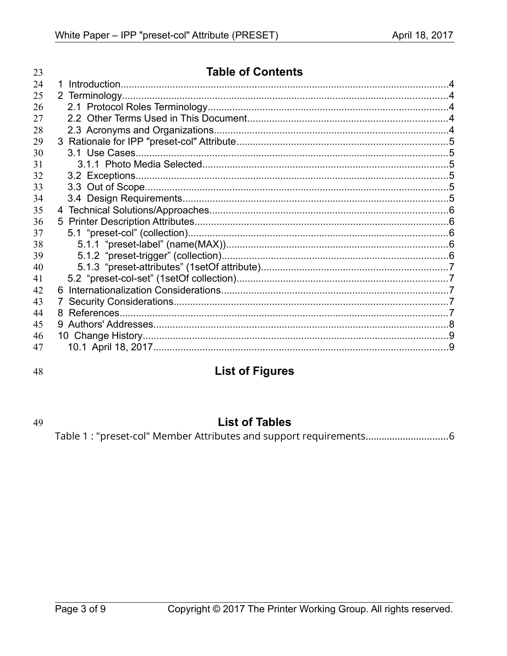| 23 | <b>Table of Contents</b> |  |
|----|--------------------------|--|
| 24 | 1.                       |  |
| 25 |                          |  |
| 26 |                          |  |
| 27 |                          |  |
| 28 |                          |  |
| 29 |                          |  |
| 30 |                          |  |
| 31 |                          |  |
| 32 |                          |  |
| 33 |                          |  |
| 34 |                          |  |
| 35 |                          |  |
| 36 |                          |  |
| 37 |                          |  |
| 38 |                          |  |
| 39 |                          |  |
| 40 |                          |  |
| 41 |                          |  |
| 42 |                          |  |
| 43 | $7^{\circ}$              |  |
| 44 | 8.                       |  |
| 45 |                          |  |
| 46 |                          |  |
| 47 |                          |  |

48

## **List of Figures**

49

## **List of Tables**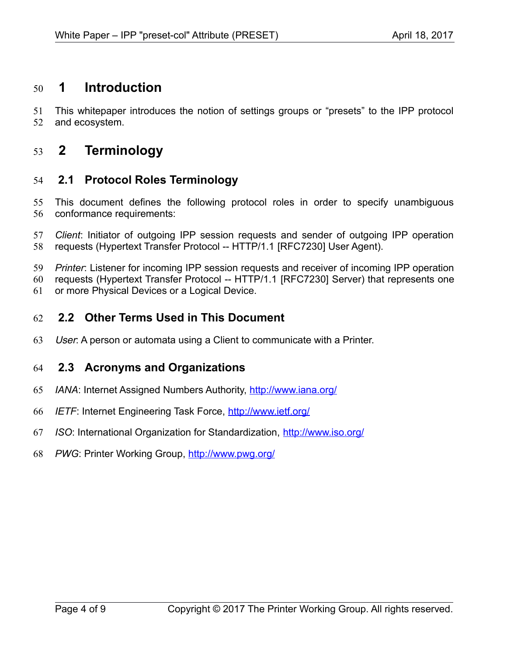## **1 Introduction** 50

This whitepaper introduces the notion of settings groups or "presets" to the IPP protocol and ecosystem. 51 52

### **2 Terminology** 53

#### **2.1 Protocol Roles Terminology** 54

This document defines the following protocol roles in order to specify unambiguous conformance requirements: 55 56

*Client*: Initiator of outgoing IPP session requests and sender of outgoing IPP operation requests (Hypertext Transfer Protocol -- HTTP/1.1 [\[RFC7230\]](#page-7-0) User Agent). 57 58

*Printer*: Listener for incoming IPP session requests and receiver of incoming IPP operation requests (Hypertext Transfer Protocol -- HTTP/1.1 [\[RFC7230\]](#page-7-0) Server) that represents one or more Physical Devices or a Logical Device. 59 60 61

#### **2.2 Other Terms Used in This Document** 62

User: A person or automata using a Client to communicate with a Printer. 63

#### **2.3 Acronyms and Organizations** 64

- *IANA*: Internet Assigned Numbers Authority,<http://www.iana.org/> 65
- *IETF*: Internet Engineering Task Force,<http://www.ietf.org/> 66
- *ISO*: International Organization for Standardization,<http://www.iso.org/> 67
- *PWG*: Printer Working Group,<http://www.pwg.org/> 68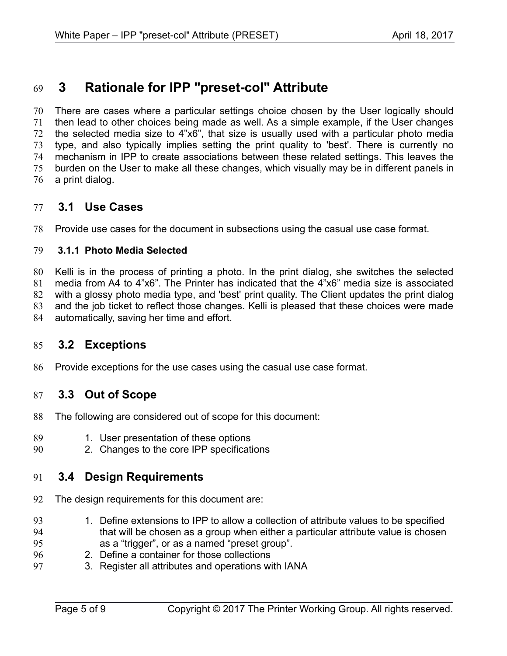## **3 Rationale for IPP "preset-col" Attribute** 69

There are cases where a particular settings choice chosen by the User logically should then lead to other choices being made as well. As a simple example, if the User changes the selected media size to 4"x6", that size is usually used with a particular photo media type, and also typically implies setting the print quality to 'best'. There is currently no mechanism in IPP to create associations between these related settings. This leaves the burden on the User to make all these changes, which visually may be in different panels in a print dialog. 70 71 72 73 74 75 76

#### **3.1 Use Cases** 77

Provide use cases for the document in subsections using the casual use case format. 78

#### **3.1.1 Photo Media Selected** 79

Kelli is in the process of printing a photo. In the print dialog, she switches the selected media from A4 to 4"x6". The Printer has indicated that the 4"x6" media size is associated with a glossy photo media type, and 'best' print quality. The Client updates the print dialog and the job ticket to reflect those changes. Kelli is pleased that these choices were made automatically, saving her time and effort. 80 81 82 83 84

#### **3.2 Exceptions** 85

Provide exceptions for the use cases using the casual use case format. 86

#### **3.3 Out of Scope** 87

- The following are considered out of scope for this document: 88
- 1. User presentation of these options 89
- 2. Changes to the core IPP specifications 90

#### **3.4 Design Requirements** 91

- The design requirements for this document are: 92
- 1. Define extensions to IPP to allow a collection of attribute values to be specified that will be chosen as a group when either a particular attribute value is chosen as a "trigger", or as a named "preset group". 93 94 95
- 2. Define a container for those collections 96
- 3. Register all attributes and operations with IANA 97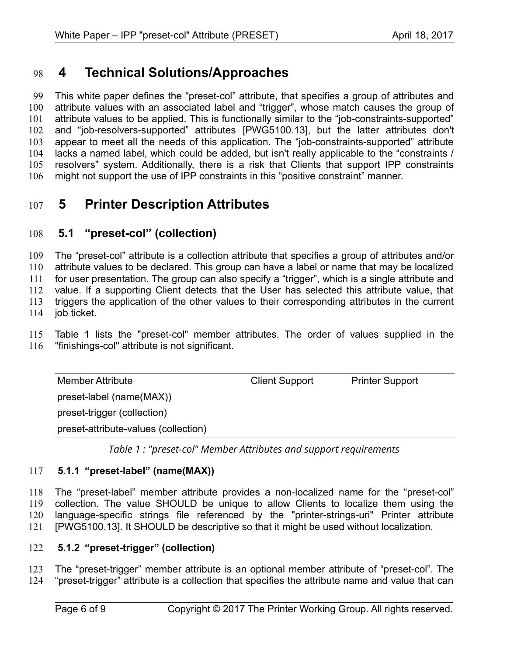## **4 Technical Solutions/Approaches** 98

This white paper defines the "preset-col" attribute, that specifies a group of attributes and attribute values with an associated label and "trigger", whose match causes the group of attribute values to be applied. This is functionally similar to the "job-constraints-supported" and "job-resolvers-supported" attributes [\[PWG5100.13\],](#page-6-0) but the latter attributes don't appear to meet all the needs of this application. The "job-constraints-supported" attribute lacks a named label, which could be added, but isn't really applicable to the "constraints / resolvers" system. Additionally, there is a risk that Clients that support IPP constraints might not support the use of IPP constraints in this "positive constraint" manner. 99 100 101 102 103 104 105 106

## **5 Printer Description Attributes** 107

#### **5.1 "preset-col" (collection)** 108

The "preset-col" attribute is a collection attribute that specifies a group of attributes and/or attribute values to be declared. This group can have a label or name that may be localized for user presentation. The group can also specify a "trigger", which is a single attribute and value. If a supporting Client detects that the User has selected this attribute value, that triggers the application of the other values to their corresponding attributes in the current job ticket. 109 110 111 112 113 114

[Table 1](#page-5-0) lists the "preset-col" member attributes. The order of values supplied in the "finishings-col" attribute is not significant. 115 116

| <b>Member Attribute</b>              | <b>Client Support</b> | <b>Printer Support</b> |  |
|--------------------------------------|-----------------------|------------------------|--|
| preset-label (name(MAX))             |                       |                        |  |
| preset-trigger (collection)          |                       |                        |  |
| preset-attribute-values (collection) |                       |                        |  |

<span id="page-5-0"></span>*Table 1 : "preset-col" Member Attributes and support requirements*

#### **5.1.1 "preset-label" (name(MAX))** 117

The "preset-label" member attribute provides a non-localized name for the "preset-col" collection. The value SHOULD be unique to allow Clients to localize them using the language-specific strings file referenced by the "printer-strings-uri" Printer attribute [\[PWG5100.13\].](#page-6-0) It SHOULD be descriptive so that it might be used without localization. 118 119 120 121

#### **5.1.2 "preset-trigger" (collection)** 122

The "preset-trigger" member attribute is an optional member attribute of "preset-col". The "preset-trigger" attribute is a collection that specifies the attribute name and value that can 123 124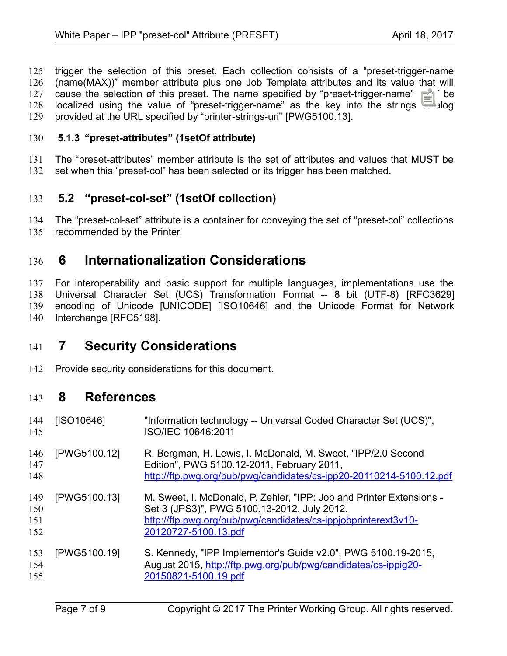trigger the selection of this preset. Each collection consists of a "preset-trigger-name (name(MAX))" member attribute plus one Job Template attributes and its value that will cause the selection of this preset. The name specified by "preset-trigger-name" MAY be localized using the value of "preset-trigger-name" as the key into the strings catalog provided at the URL specified by "printer-strings-uri" [\[PWG5100.13\].](#page-6-0) 125 126 127 128 129

#### **5.1.3 "preset-attributes" (1setOf attribute)** 130

The "preset-attributes" member attribute is the set of attributes and values that MUST be 131

set when this "preset-col" has been selected or its trigger has been matched. 132

#### **5.2 "preset-col-set" (1setOf collection)** 133

The "preset-col-set" attribute is a container for conveying the set of "preset-col" collections recommended by the Printer. 134 135

## **6 Internationalization Considerations** 136

For interoperability and basic support for multiple languages, implementations use the Universal Character Set (UCS) Transformation Format -- 8 bit (UTF-8) [\[RFC3629\]](#page-7-3) encoding of Unicode [\[UNICODE\]](#page-7-2) [\[ISO10646\]](#page-6-1) and the Unicode Format for Network Interchange [\[RFC5198\].](#page-7-1) 137 138 139 140

## **7 Security Considerations** 141

Provide security considerations for this document. 142

### **8 References** 143

<span id="page-6-1"></span><span id="page-6-0"></span>

| 144<br>145               | [ISO10646]   | "Information technology -- Universal Coded Character Set (UCS)",<br>ISO/IEC 10646:2011                                                                                                                        |
|--------------------------|--------------|---------------------------------------------------------------------------------------------------------------------------------------------------------------------------------------------------------------|
| 146<br>147<br>148        | [PWG5100.12] | R. Bergman, H. Lewis, I. McDonald, M. Sweet, "IPP/2.0 Second<br>Edition", PWG 5100.12-2011, February 2011,<br>http://ftp.pwg.org/pub/pwg/candidates/cs-ipp20-20110214-5100.12.pdf                             |
| 149<br>150<br>151<br>152 | [PWG5100.13] | M. Sweet, I. McDonald, P. Zehler, "IPP: Job and Printer Extensions -<br>Set 3 (JPS3)", PWG 5100.13-2012, July 2012,<br>http://ftp.pwg.org/pub/pwg/candidates/cs-ippjobprinterext3v10-<br>20120727-5100.13.pdf |
| 153<br>154<br>155        | [PWG5100.19] | S. Kennedy, "IPP Implementor's Guide v2.0", PWG 5100.19-2015,<br>August 2015, http://ftp.pwg.org/pub/pwg/candidates/cs-ippig20-<br>20150821-5100.19.pdf                                                       |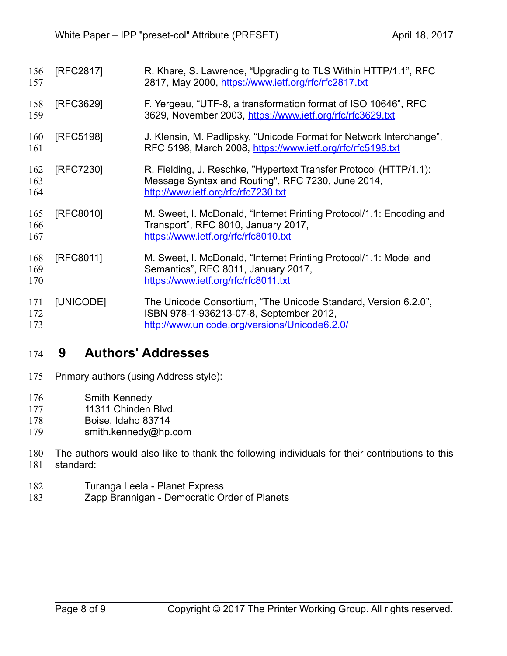<span id="page-7-3"></span><span id="page-7-1"></span><span id="page-7-0"></span>

| 156<br>157        | [RFC2817] | R. Khare, S. Lawrence, "Upgrading to TLS Within HTTP/1.1", RFC<br>2817, May 2000, https://www.ietf.org/rfc/rfc2817.txt                                        |
|-------------------|-----------|---------------------------------------------------------------------------------------------------------------------------------------------------------------|
| 158<br>159        | [RFC3629] | F. Yergeau, "UTF-8, a transformation format of ISO 10646", RFC<br>3629, November 2003, https://www.ietf.org/rfc/rfc3629.txt                                   |
| 160<br>161        | [RFC5198] | J. Klensin, M. Padlipsky, "Unicode Format for Network Interchange",<br>RFC 5198, March 2008, https://www.ietf.org/rfc/rfc5198.txt                             |
| 162<br>163<br>164 | [RFC7230] | R. Fielding, J. Reschke, "Hypertext Transfer Protocol (HTTP/1.1):<br>Message Syntax and Routing", RFC 7230, June 2014,<br>http://www.ietf.org/rfc/rfc7230.txt |
| 165<br>166<br>167 | [RFC8010] | M. Sweet, I. McDonald, "Internet Printing Protocol/1.1: Encoding and<br>Transport", RFC 8010, January 2017,<br>https://www.ietf.org/rfc/rfc8010.txt           |
| 168<br>169<br>170 | [RFC8011] | M. Sweet, I. McDonald, "Internet Printing Protocol/1.1: Model and<br>Semantics", RFC 8011, January 2017,<br>https://www.ietf.org/rfc/rfc8011.txt              |
| 171<br>172<br>173 | [UNICODE] | The Unicode Consortium, "The Unicode Standard, Version 6.2.0",<br>ISBN 978-1-936213-07-8, September 2012,<br>http://www.unicode.org/versions/Unicode6.2.0/    |

## <span id="page-7-2"></span> **9 Authors' Addresses** 174

- Primary authors (using Address style): 175
- Smith Kennedy 176
- 11311 Chinden Blvd. 177
- Boise, Idaho 83714 178
- smith.kennedy@hp.com 179
- The authors would also like to thank the following individuals for their contributions to this standard: 180 181
- Turanga Leela Planet Express 182
- Zapp Brannigan Democratic Order of Planets 183